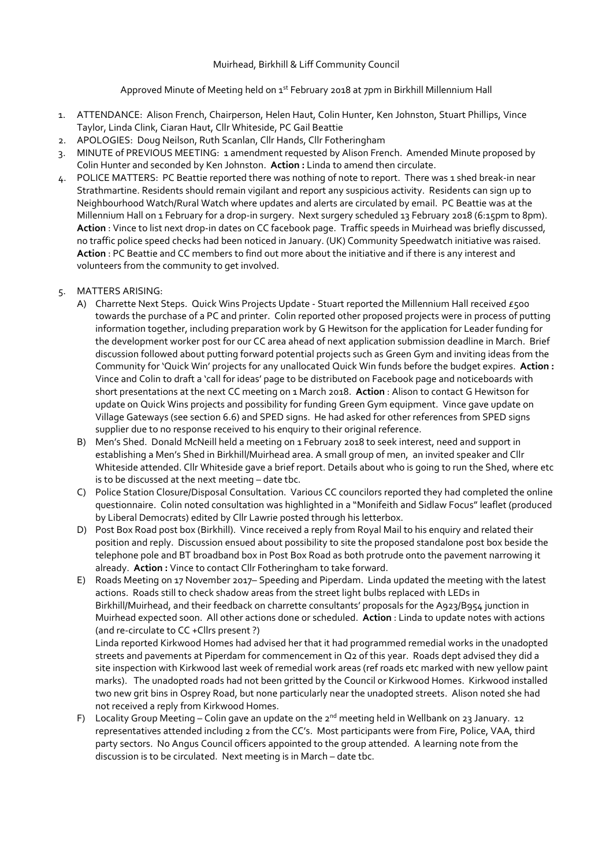#### Muirhead, Birkhill & Liff Community Council

# Approved Minute of Meeting held on 1<sup>st</sup> February 2018 at 7pm in Birkhill Millennium Hall

- 1. ATTENDANCE: Alison French, Chairperson, Helen Haut, Colin Hunter, Ken Johnston, Stuart Phillips, Vince Taylor, Linda Clink, Ciaran Haut, Cllr Whiteside, PC Gail Beattie
- 2. APOLOGIES: Doug Neilson, Ruth Scanlan, Cllr Hands, Cllr Fotheringham
- 3. MINUTE of PREVIOUS MEETING: 1 amendment requested by Alison French. Amended Minute proposed by Colin Hunter and seconded by Ken Johnston. **Action :** Linda to amend then circulate.
- 4. POLICE MATTERS: PC Beattie reported there was nothing of note to report. There was 1 shed break-in near Strathmartine. Residents should remain vigilant and report any suspicious activity. Residents can sign up to Neighbourhood Watch/Rural Watch where updates and alerts are circulated by email. PC Beattie was at the Millennium Hall on 1 February for a drop-in surgery. Next surgery scheduled 13 February 2018 (6:15pm to 8pm). **Action** : Vince to list next drop-in dates on CC facebook page. Traffic speeds in Muirhead was briefly discussed, no traffic police speed checks had been noticed in January. (UK) Community Speedwatch initiative was raised. **Action** : PC Beattie and CC members to find out more about the initiative and if there is any interest and volunteers from the community to get involved.

# 5. MATTERS ARISING:

- A) Charrette Next Steps. Quick Wins Projects Update Stuart reported the Millennium Hall received £500 towards the purchase of a PC and printer. Colin reported other proposed projects were in process of putting information together, including preparation work by G Hewitson for the application for Leader funding for the development worker post for our CC area ahead of next application submission deadline in March. Brief discussion followed about putting forward potential projects such as Green Gym and inviting ideas from the Community for 'Quick Win' projects for any unallocated Quick Win funds before the budget expires. **Action :** Vince and Colin to draft a 'call for ideas' page to be distributed on Facebook page and noticeboards with short presentations at the next CC meeting on 1 March 2018. **Action** : Alison to contact G Hewitson for update on Quick Wins projects and possibility for funding Green Gym equipment. Vince gave update on Village Gateways (see section 6.6) and SPED signs. He had asked for other references from SPED signs supplier due to no response received to his enquiry to their original reference.
- B) Men's Shed. Donald McNeill held a meeting on 1 February 2018 to seek interest, need and support in establishing a Men's Shed in Birkhill/Muirhead area. A small group of men, an invited speaker and Cllr Whiteside attended. Cllr Whiteside gave a brief report. Details about who is going to run the Shed, where etc is to be discussed at the next meeting – date tbc.
- C) Police Station Closure/Disposal Consultation. Various CC councilors reported they had completed the online questionnaire. Colin noted consultation was highlighted in a "Monifeith and Sidlaw Focus" leaflet (produced by Liberal Democrats) edited by Cllr Lawrie posted through his letterbox.
- D) Post Box Road post box (Birkhill). Vince received a reply from Royal Mail to his enquiry and related their position and reply. Discussion ensued about possibility to site the proposed standalone post box beside the telephone pole and BT broadband box in Post Box Road as both protrude onto the pavement narrowing it already. **Action :** Vince to contact Cllr Fotheringham to take forward.
- E) Roads Meeting on 17 November 2017– Speeding and Piperdam. Linda updated the meeting with the latest actions. Roads still to check shadow areas from the street light bulbs replaced with LEDs in Birkhill/Muirhead, and their feedback on charrette consultants' proposals for the A923/B954 junction in Muirhead expected soon. All other actions done or scheduled. **Action** : Linda to update notes with actions (and re-circulate to CC +Cllrs present ?)

Linda reported Kirkwood Homes had advised her that it had programmed remedial works in the unadopted streets and pavements at Piperdam for commencement in Q2 of this year. Roads dept advised they did a site inspection with Kirkwood last week of remedial work areas (ref roads etc marked with new yellow paint marks). The unadopted roads had not been gritted by the Council or Kirkwood Homes. Kirkwood installed two new grit bins in Osprey Road, but none particularly near the unadopted streets. Alison noted she had not received a reply from Kirkwood Homes.

F) Locality Group Meeting – Colin gave an update on the  $2^{nd}$  meeting held in Wellbank on 23 January. 12 representatives attended including 2 from the CC's. Most participants were from Fire, Police, VAA, third party sectors. No Angus Council officers appointed to the group attended. A learning note from the discussion is to be circulated. Next meeting is in March – date tbc.